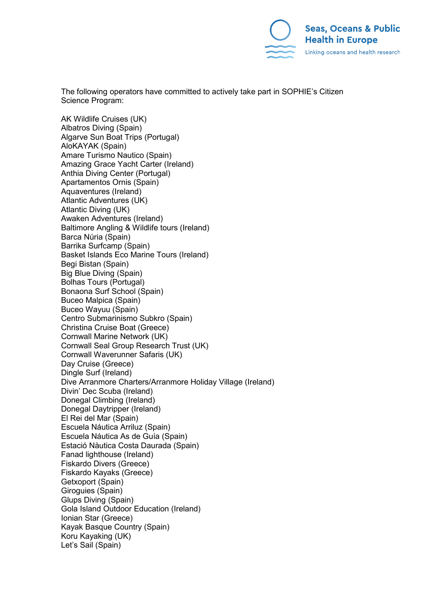

The following operators have committed to actively take part in SOPHIE's Citizen Science Program:

AK Wildlife Cruises (UK) Albatros Diving (Spain) Algarve Sun Boat Trips (Portugal) AloKAYAK (Spain) Amare Turismo Nautico (Spain) Amazing Grace Yacht Carter (Ireland) Anthia Diving Center (Portugal) Apartamentos Ornis (Spain) Aquaventures (Ireland) Atlantic Adventures (UK) Atlantic Diving (UK) Awaken Adventures (Ireland) Baltimore Angling & Wildlife tours (Ireland) Barca Núria (Spain) Barrika Surfcamp (Spain) Basket Islands Eco Marine Tours (Ireland) Begi Bistan (Spain) Big Blue Diving (Spain) Bolhas Tours (Portugal) Bonaona Surf School (Spain) Buceo Malpica (Spain) Buceo Wayuu (Spain) Centro Submarinismo Subkro (Spain) Christina Cruise Boat (Greece) Cornwall Marine Network (UK) Cornwall Seal Group Research Trust (UK) Cornwall Waverunner Safaris (UK) Day Cruise (Greece) Dingle Surf (Ireland) Dive Arranmore Charters/Arranmore Holiday Village (Ireland) Divin' Dec Scuba (Ireland) Donegal Climbing (Ireland) Donegal Daytripper (Ireland) El Rei del Mar (Spain) Escuela Náutica Arriluz (Spain) Escuela Náutica As de Guía (Spain) Estació Nàutica Costa Daurada (Spain) Fanad lighthouse (Ireland) Fiskardo Divers (Greece) Fiskardo Kayaks (Greece) Getxoport (Spain) Giroguies (Spain) Glups Diving (Spain) Gola Island Outdoor Education (Ireland) Ionian Star (Greece) Kayak Basque Country (Spain) Koru Kayaking (UK) Let's Sail (Spain)